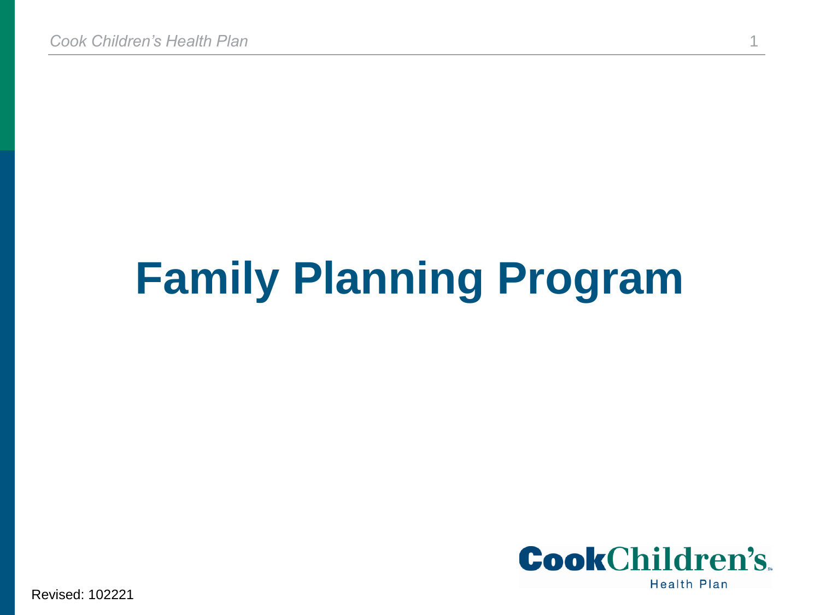# **Family Planning Program**



Revised: 102221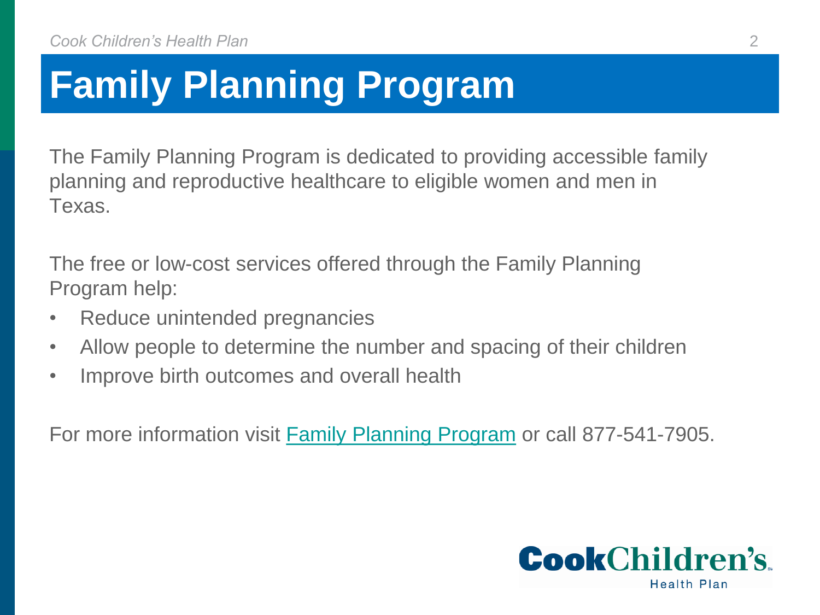# **Family Planning Program**

The Family Planning Program is dedicated to providing accessible family planning and reproductive healthcare to eligible women and men in Texas.

The free or low-cost services offered through the Family Planning Program help:

- Reduce unintended pregnancies
- Allow people to determine the number and spacing of their children
- Improve birth outcomes and overall health

For more information visit **Family Planning Program** or call 877-541-7905.

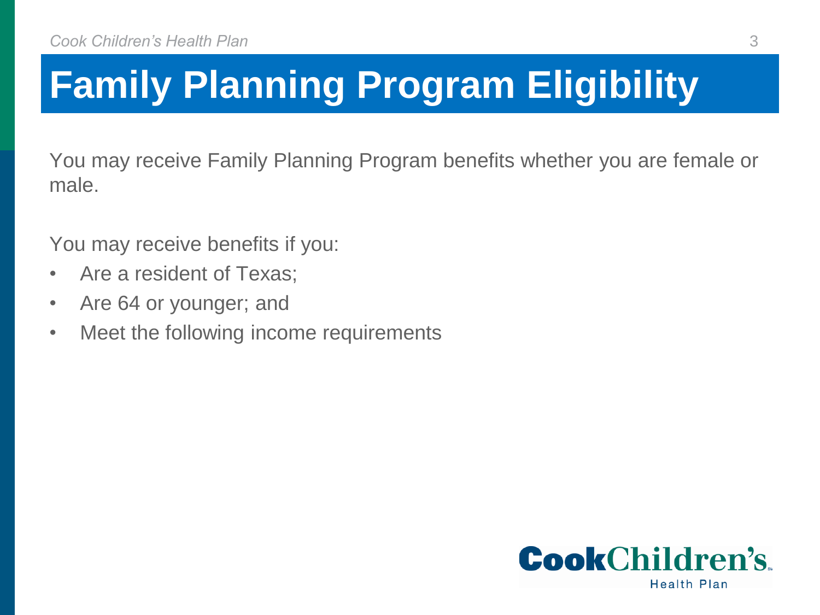# **Family Planning Program Eligibility**

You may receive Family Planning Program benefits whether you are female or male.

You may receive benefits if you:

- Are a resident of Texas;
- Are 64 or younger; and
- Meet the following income requirements



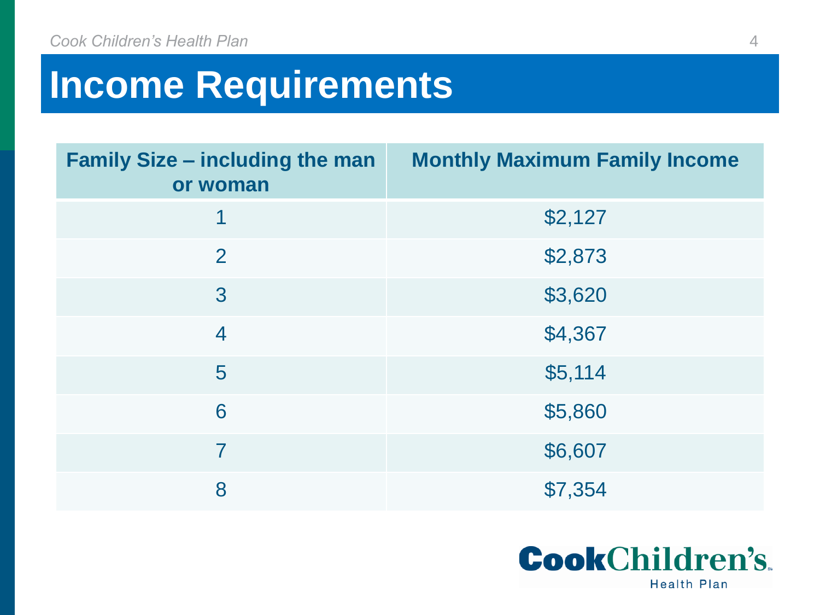# **Income Requirements**

| <b>Family Size – including the man</b><br>or woman | <b>Monthly Maximum Family Income</b> |
|----------------------------------------------------|--------------------------------------|
| 1                                                  | \$2,127                              |
| $\overline{2}$                                     | \$2,873                              |
| 3                                                  | \$3,620                              |
| $\overline{4}$                                     | \$4,367                              |
| 5                                                  | \$5,114                              |
| 6                                                  | \$5,860                              |
| $\overline{7}$                                     | \$6,607                              |
| 8                                                  | \$7,354                              |

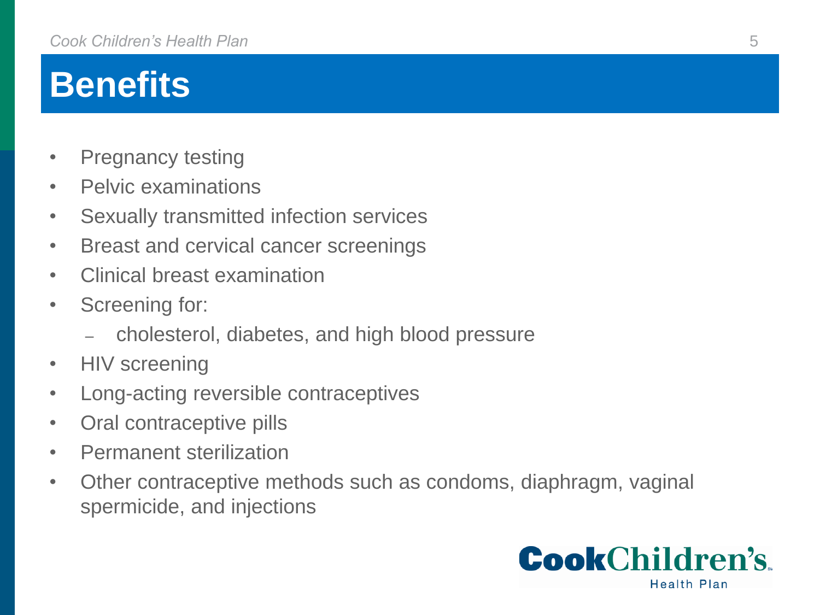## **Benefits**

- Pregnancy testing
- Pelvic examinations
- Sexually transmitted infection services
- Breast and cervical cancer screenings
- Clinical breast examination
- Screening for:
	- cholesterol, diabetes, and high blood pressure
- HIV screening
- Long-acting reversible contraceptives
- Oral contraceptive pills
- Permanent sterilization
- Other contraceptive methods such as condoms, diaphragm, vaginal spermicide, and injections

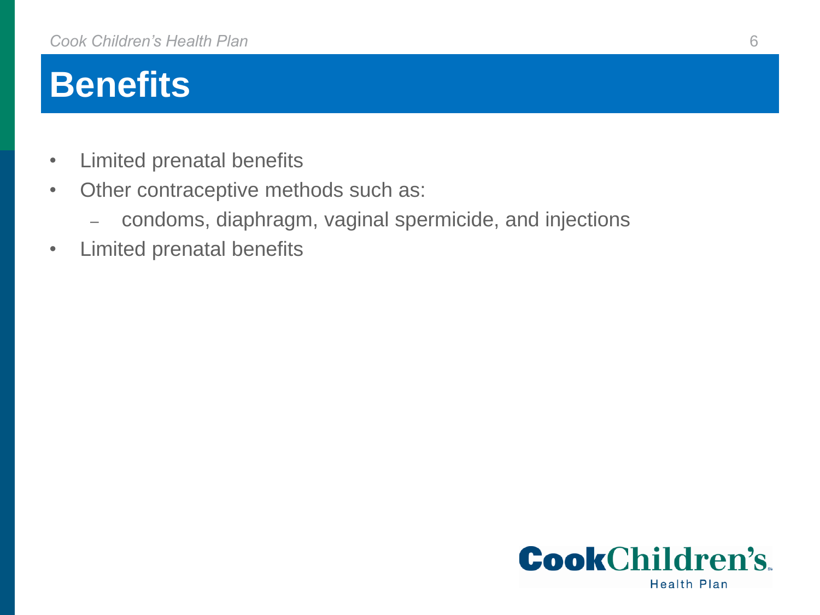## **Benefits**

- Limited prenatal benefits
- Other contraceptive methods such as:
	- condoms, diaphragm, vaginal spermicide, and injections
- Limited prenatal benefits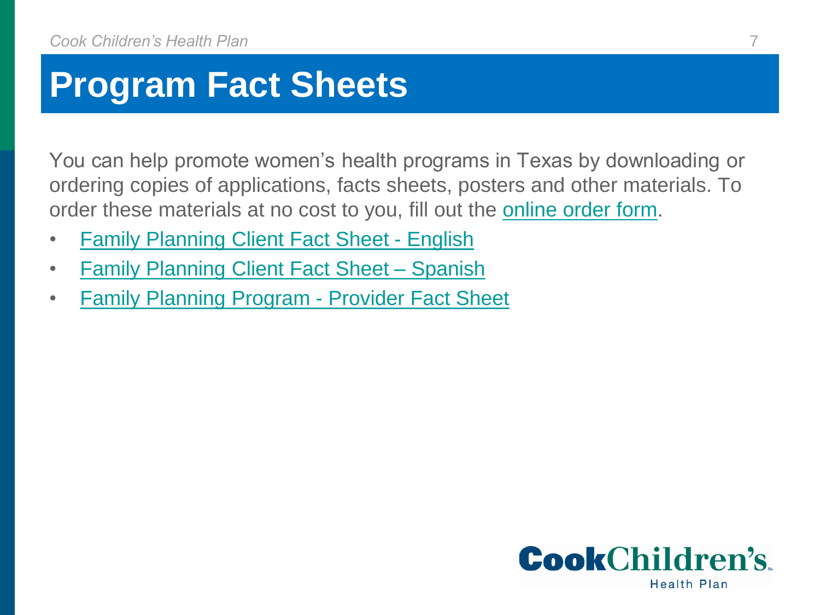#### **Program Fact Sheets**

You can help promote women's health programs in Texas by downloading or ordering copies of applications, facts sheets, posters and other materials. To order these materials at no cost to you, fill out the [online order form](http://hhsc.pinnaclecart.com/healthy-texas-women/).

- [Family Planning Client Fact Sheet -](https://www.healthytexaswomen.org/sites/htw/files/documents/provider-resources/fpp_client_fact_sheet_english.pdf) English
- [Family Planning Client Fact Sheet –](https://www.healthytexaswomen.org/sites/htw/files/documents/provider-resources/fpp_client_fact_sheet_spanish.pdf) Spanish
- [Family Planning Program -](https://www.healthytexaswomen.org/sites/htw/files/documents/provider-resources/fpp-provider-factsheet-english-05172017.pdf) Provider Fact Sheet

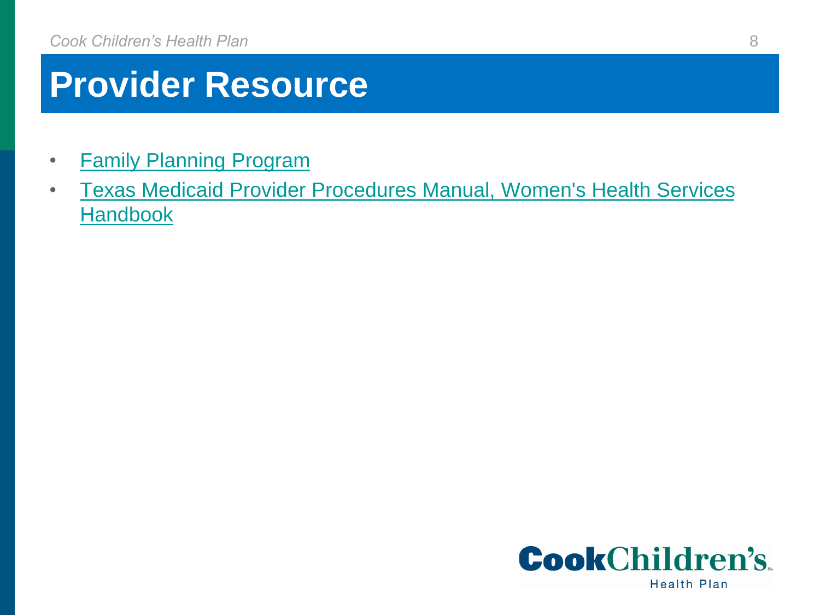## **Provider Resource**

- [Family Planning Program](https://www.tmhp.com/programs/family-planning-program)
- [Texas Medicaid Provider Procedures Manual, Women's Health Services](https://www.tmhp.com/sites/default/files/microsites/provider-manuals/tmppm/html/index.html#t=TMPPM%2F2_Womens_Health_Srvs%2F2_Womens_Health_Srvs.htm) **Handbook**